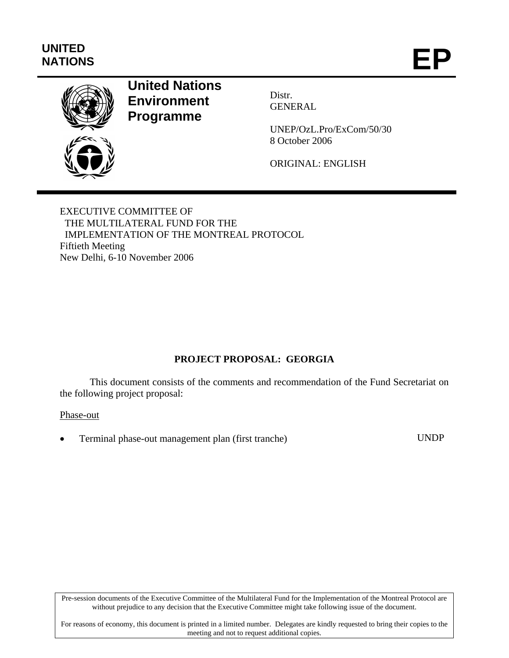# **UNITED**  UNITED<br>NATIONS **EP**



# **United Nations Environment Programme**

Distr. GENERAL

UNEP/OzL.Pro/ExCom/50/30 8 October 2006

ORIGINAL: ENGLISH

EXECUTIVE COMMITTEE OF THE MULTILATERAL FUND FOR THE IMPLEMENTATION OF THE MONTREAL PROTOCOL Fiftieth Meeting New Delhi, 6-10 November 2006

# **PROJECT PROPOSAL: GEORGIA**

This document consists of the comments and recommendation of the Fund Secretariat on the following project proposal:

#### Phase-out

• Terminal phase-out management plan (first tranche) UNDP

Pre-session documents of the Executive Committee of the Multilateral Fund for the Implementation of the Montreal Protocol are without prejudice to any decision that the Executive Committee might take following issue of the document.

For reasons of economy, this document is printed in a limited number. Delegates are kindly requested to bring their copies to the meeting and not to request additional copies.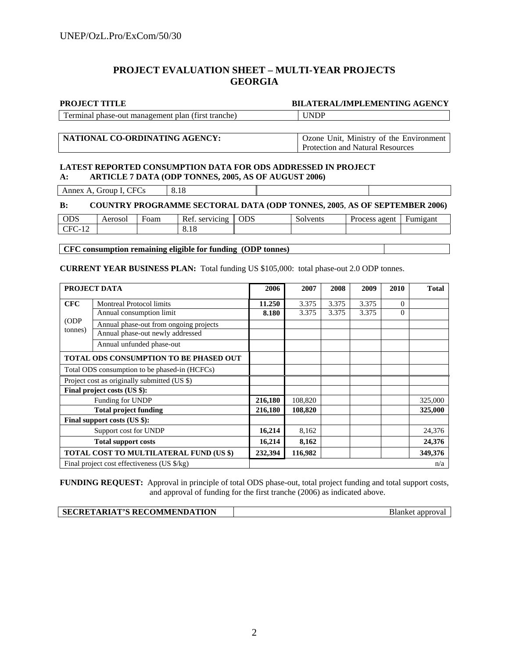#### **PROJECT EVALUATION SHEET – MULTI-YEAR PROJECTS GEORGIA**

| <b>PROJECT TITLE</b>                               | <b>BILATERAL/IMPLEMENTING AGENCY</b> |
|----------------------------------------------------|--------------------------------------|
| Terminal phase-out management plan (first tranche) | <b>UNDP</b>                          |

### **NATIONAL CO-ORDINATING AGENCY:** Ozone Unit, Ministry of the Environment

Protection and Natural Resources

#### **LATEST REPORTED CONSUMPTION DATA FOR ODS ADDRESSED IN PROJECT A: ARTICLE 7 DATA (ODP TONNES, 2005, AS OF AUGUST 2006)**

Annex A, Group I, CFCs 8.18

| <b>B:</b>  |         |      |                      | <b>COUNTRY PROGRAMME SECTORAL DATA (ODP TONNES, 2005, AS OF SEPTEMBER 2006)</b> |          |                          |  |
|------------|---------|------|----------------------|---------------------------------------------------------------------------------|----------|--------------------------|--|
| <b>ODS</b> | Aerosol | Foam | Ref. servicing   ODS |                                                                                 | Solvents | Process agent   Fumigant |  |
| CFC-12     |         |      | 8.18                 |                                                                                 |          |                          |  |

**CFC consumption remaining eligible for funding (ODP tonnes)** 

**CURRENT YEAR BUSINESS PLAN:** Total funding US \$105,000: total phase-out 2.0 ODP tonnes.

|                                              | PROJECT DATA                                          |         | 2007    | 2008  | 2009  | 2010     | <b>Total</b> |
|----------------------------------------------|-------------------------------------------------------|---------|---------|-------|-------|----------|--------------|
| <b>CFC</b>                                   | <b>Montreal Protocol limits</b>                       | 11.250  | 3.375   | 3.375 | 3.375 | $\Omega$ |              |
|                                              | Annual consumption limit                              | 8.180   | 3.375   | 3.375 | 3.375 | $\Omega$ |              |
| (ODP)                                        | Annual phase-out from ongoing projects                |         |         |       |       |          |              |
| tonnes)                                      | Annual phase-out newly addressed                      |         |         |       |       |          |              |
|                                              | Annual unfunded phase-out                             |         |         |       |       |          |              |
|                                              | <b>TOTAL ODS CONSUMPTION TO BE PHASED OUT</b>         |         |         |       |       |          |              |
|                                              | Total ODS consumption to be phased-in (HCFCs)         |         |         |       |       |          |              |
| Project cost as originally submitted (US \$) |                                                       |         |         |       |       |          |              |
|                                              | Final project costs (US \$):                          |         |         |       |       |          |              |
|                                              | Funding for UNDP                                      | 216,180 | 108,820 |       |       |          | 325,000      |
|                                              | <b>Total project funding</b>                          | 216,180 | 108,820 |       |       |          | 325,000      |
|                                              | Final support costs (US \$):                          |         |         |       |       |          |              |
| Support cost for UNDP                        |                                                       | 16,214  | 8,162   |       |       |          | 24,376       |
| <b>Total support costs</b>                   |                                                       | 16,214  | 8,162   |       |       |          | 24,376       |
|                                              | TOTAL COST TO MULTILATERAL FUND (US \$)               |         | 116,982 |       |       |          | 349,376      |
|                                              | Final project cost effectiveness (US $\frac{s}{kg}$ ) |         |         |       |       |          | n/a          |

**FUNDING REQUEST:** Approval in principle of total ODS phase-out, total project funding and total support costs, and approval of funding for the first tranche (2006) as indicated above.

| SECRETARIAT'S RECOMMENDATION | Blanket approval |
|------------------------------|------------------|
|                              |                  |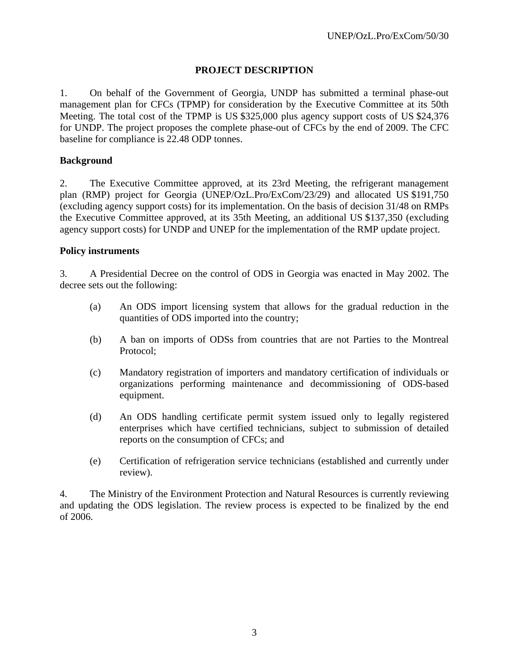## **PROJECT DESCRIPTION**

1. On behalf of the Government of Georgia, UNDP has submitted a terminal phase-out management plan for CFCs (TPMP) for consideration by the Executive Committee at its 50th Meeting. The total cost of the TPMP is US \$325,000 plus agency support costs of US \$24,376 for UNDP. The project proposes the complete phase-out of CFCs by the end of 2009. The CFC baseline for compliance is 22.48 ODP tonnes.

#### **Background**

2. The Executive Committee approved, at its 23rd Meeting, the refrigerant management plan (RMP) project for Georgia (UNEP/OzL.Pro/ExCom/23/29) and allocated US \$191,750 (excluding agency support costs) for its implementation. On the basis of decision 31/48 on RMPs the Executive Committee approved, at its 35th Meeting, an additional US \$137,350 (excluding agency support costs) for UNDP and UNEP for the implementation of the RMP update project.

#### **Policy instruments**

3. A Presidential Decree on the control of ODS in Georgia was enacted in May 2002. The decree sets out the following:

- (a) An ODS import licensing system that allows for the gradual reduction in the quantities of ODS imported into the country;
- (b) A ban on imports of ODSs from countries that are not Parties to the Montreal Protocol;
- (c) Mandatory registration of importers and mandatory certification of individuals or organizations performing maintenance and decommissioning of ODS-based equipment.
- (d) An ODS handling certificate permit system issued only to legally registered enterprises which have certified technicians, subject to submission of detailed reports on the consumption of CFCs; and
- (e) Certification of refrigeration service technicians (established and currently under review).

4. The Ministry of the Environment Protection and Natural Resources is currently reviewing and updating the ODS legislation. The review process is expected to be finalized by the end of 2006.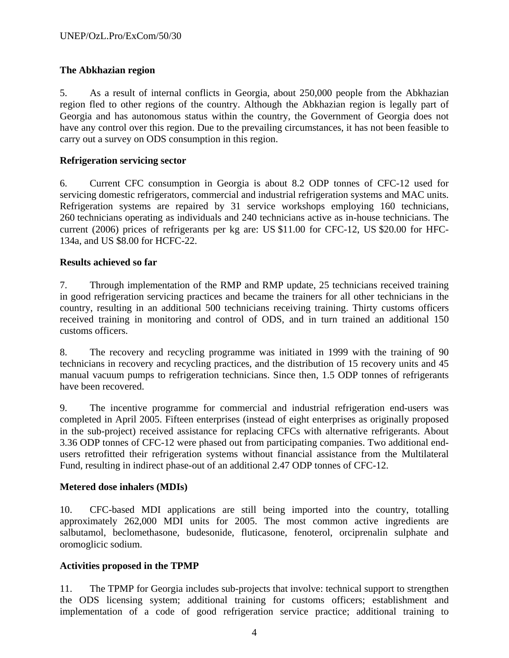## **The Abkhazian region**

5. As a result of internal conflicts in Georgia, about 250,000 people from the Abkhazian region fled to other regions of the country. Although the Abkhazian region is legally part of Georgia and has autonomous status within the country, the Government of Georgia does not have any control over this region. Due to the prevailing circumstances, it has not been feasible to carry out a survey on ODS consumption in this region.

## **Refrigeration servicing sector**

6. Current CFC consumption in Georgia is about 8.2 ODP tonnes of CFC-12 used for servicing domestic refrigerators, commercial and industrial refrigeration systems and MAC units. Refrigeration systems are repaired by 31 service workshops employing 160 technicians, 260 technicians operating as individuals and 240 technicians active as in-house technicians. The current (2006) prices of refrigerants per kg are: US \$11.00 for CFC-12, US \$20.00 for HFC-134a, and US \$8.00 for HCFC-22.

## **Results achieved so far**

7. Through implementation of the RMP and RMP update, 25 technicians received training in good refrigeration servicing practices and became the trainers for all other technicians in the country, resulting in an additional 500 technicians receiving training. Thirty customs officers received training in monitoring and control of ODS, and in turn trained an additional 150 customs officers.

8. The recovery and recycling programme was initiated in 1999 with the training of 90 technicians in recovery and recycling practices, and the distribution of 15 recovery units and 45 manual vacuum pumps to refrigeration technicians. Since then, 1.5 ODP tonnes of refrigerants have been recovered.

9. The incentive programme for commercial and industrial refrigeration end-users was completed in April 2005. Fifteen enterprises (instead of eight enterprises as originally proposed in the sub-project) received assistance for replacing CFCs with alternative refrigerants. About 3.36 ODP tonnes of CFC-12 were phased out from participating companies. Two additional endusers retrofitted their refrigeration systems without financial assistance from the Multilateral Fund, resulting in indirect phase-out of an additional 2.47 ODP tonnes of CFC-12.

## **Metered dose inhalers (MDIs)**

10. CFC-based MDI applications are still being imported into the country, totalling approximately 262,000 MDI units for 2005. The most common active ingredients are salbutamol, beclomethasone, budesonide, fluticasone, fenoterol, orciprenalin sulphate and oromoglicic sodium.

## **Activities proposed in the TPMP**

11. The TPMP for Georgia includes sub-projects that involve: technical support to strengthen the ODS licensing system; additional training for customs officers; establishment and implementation of a code of good refrigeration service practice; additional training to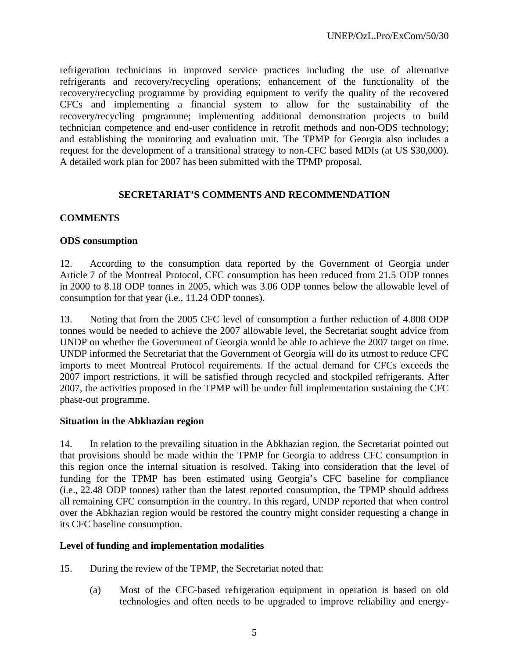refrigeration technicians in improved service practices including the use of alternative refrigerants and recovery/recycling operations; enhancement of the functionality of the recovery/recycling programme by providing equipment to verify the quality of the recovered CFCs and implementing a financial system to allow for the sustainability of the recovery/recycling programme; implementing additional demonstration projects to build technician competence and end-user confidence in retrofit methods and non-ODS technology; and establishing the monitoring and evaluation unit. The TPMP for Georgia also includes a request for the development of a transitional strategy to non-CFC based MDIs (at US \$30,000). A detailed work plan for 2007 has been submitted with the TPMP proposal.

## **SECRETARIAT'S COMMENTS AND RECOMMENDATION**

## **COMMENTS**

#### **ODS consumption**

12. According to the consumption data reported by the Government of Georgia under Article 7 of the Montreal Protocol, CFC consumption has been reduced from 21.5 ODP tonnes in 2000 to 8.18 ODP tonnes in 2005, which was 3.06 ODP tonnes below the allowable level of consumption for that year (i.e., 11.24 ODP tonnes).

13. Noting that from the 2005 CFC level of consumption a further reduction of 4.808 ODP tonnes would be needed to achieve the 2007 allowable level, the Secretariat sought advice from UNDP on whether the Government of Georgia would be able to achieve the 2007 target on time. UNDP informed the Secretariat that the Government of Georgia will do its utmost to reduce CFC imports to meet Montreal Protocol requirements. If the actual demand for CFCs exceeds the 2007 import restrictions, it will be satisfied through recycled and stockpiled refrigerants. After 2007, the activities proposed in the TPMP will be under full implementation sustaining the CFC phase-out programme.

#### **Situation in the Abkhazian region**

14. In relation to the prevailing situation in the Abkhazian region, the Secretariat pointed out that provisions should be made within the TPMP for Georgia to address CFC consumption in this region once the internal situation is resolved. Taking into consideration that the level of funding for the TPMP has been estimated using Georgia's CFC baseline for compliance (i.e., 22.48 ODP tonnes) rather than the latest reported consumption, the TPMP should address all remaining CFC consumption in the country. In this regard, UNDP reported that when control over the Abkhazian region would be restored the country might consider requesting a change in its CFC baseline consumption.

#### **Level of funding and implementation modalities**

- 15. During the review of the TPMP, the Secretariat noted that:
	- (a) Most of the CFC-based refrigeration equipment in operation is based on old technologies and often needs to be upgraded to improve reliability and energy-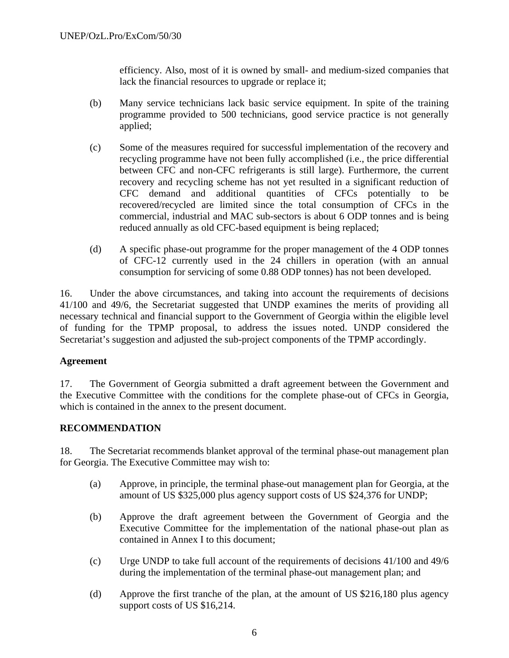efficiency. Also, most of it is owned by small- and medium-sized companies that lack the financial resources to upgrade or replace it;

- (b) Many service technicians lack basic service equipment. In spite of the training programme provided to 500 technicians, good service practice is not generally applied;
- (c) Some of the measures required for successful implementation of the recovery and recycling programme have not been fully accomplished (i.e., the price differential between CFC and non-CFC refrigerants is still large). Furthermore, the current recovery and recycling scheme has not yet resulted in a significant reduction of CFC demand and additional quantities of CFCs potentially to be recovered/recycled are limited since the total consumption of CFCs in the commercial, industrial and MAC sub-sectors is about 6 ODP tonnes and is being reduced annually as old CFC-based equipment is being replaced;
- (d) A specific phase-out programme for the proper management of the 4 ODP tonnes of CFC-12 currently used in the 24 chillers in operation (with an annual consumption for servicing of some 0.88 ODP tonnes) has not been developed.

16. Under the above circumstances, and taking into account the requirements of decisions 41/100 and 49/6, the Secretariat suggested that UNDP examines the merits of providing all necessary technical and financial support to the Government of Georgia within the eligible level of funding for the TPMP proposal, to address the issues noted. UNDP considered the Secretariat's suggestion and adjusted the sub-project components of the TPMP accordingly.

#### **Agreement**

17. The Government of Georgia submitted a draft agreement between the Government and the Executive Committee with the conditions for the complete phase-out of CFCs in Georgia, which is contained in the annex to the present document.

#### **RECOMMENDATION**

18. The Secretariat recommends blanket approval of the terminal phase-out management plan for Georgia. The Executive Committee may wish to:

- (a) Approve, in principle, the terminal phase-out management plan for Georgia, at the amount of US \$325,000 plus agency support costs of US \$24,376 for UNDP;
- (b) Approve the draft agreement between the Government of Georgia and the Executive Committee for the implementation of the national phase-out plan as contained in Annex I to this document;
- (c) Urge UNDP to take full account of the requirements of decisions 41/100 and 49/6 during the implementation of the terminal phase-out management plan; and
- (d) Approve the first tranche of the plan, at the amount of US \$216,180 plus agency support costs of US \$16,214.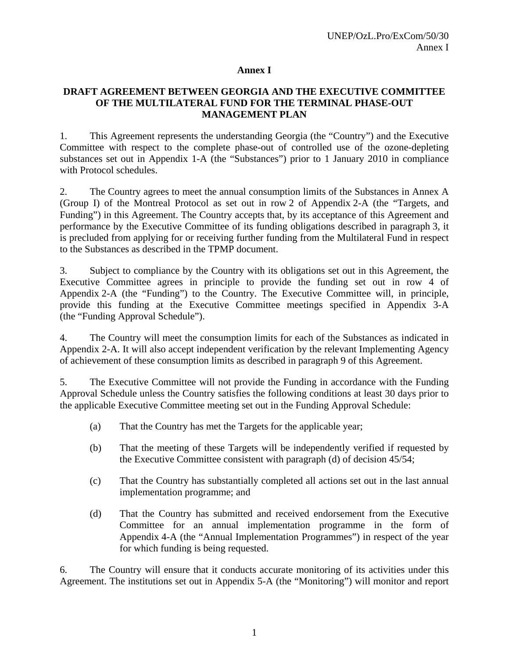#### **Annex I**

## **DRAFT AGREEMENT BETWEEN GEORGIA AND THE EXECUTIVE COMMITTEE OF THE MULTILATERAL FUND FOR THE TERMINAL PHASE-OUT MANAGEMENT PLAN**

1. This Agreement represents the understanding Georgia (the "Country") and the Executive Committee with respect to the complete phase-out of controlled use of the ozone-depleting substances set out in Appendix 1-A (the "Substances") prior to 1 January 2010 in compliance with Protocol schedules.

2. The Country agrees to meet the annual consumption limits of the Substances in Annex A (Group I) of the Montreal Protocol as set out in row 2 of Appendix 2-A (the "Targets, and Funding") in this Agreement. The Country accepts that, by its acceptance of this Agreement and performance by the Executive Committee of its funding obligations described in paragraph 3, it is precluded from applying for or receiving further funding from the Multilateral Fund in respect to the Substances as described in the TPMP document.

3. Subject to compliance by the Country with its obligations set out in this Agreement, the Executive Committee agrees in principle to provide the funding set out in row 4 of Appendix 2-A (the "Funding") to the Country. The Executive Committee will, in principle, provide this funding at the Executive Committee meetings specified in Appendix 3-A (the "Funding Approval Schedule").

4. The Country will meet the consumption limits for each of the Substances as indicated in Appendix 2-A. It will also accept independent verification by the relevant Implementing Agency of achievement of these consumption limits as described in paragraph 9 of this Agreement.

5. The Executive Committee will not provide the Funding in accordance with the Funding Approval Schedule unless the Country satisfies the following conditions at least 30 days prior to the applicable Executive Committee meeting set out in the Funding Approval Schedule:

- (a) That the Country has met the Targets for the applicable year;
- (b) That the meeting of these Targets will be independently verified if requested by the Executive Committee consistent with paragraph (d) of decision 45/54;
- (c) That the Country has substantially completed all actions set out in the last annual implementation programme; and
- (d) That the Country has submitted and received endorsement from the Executive Committee for an annual implementation programme in the form of Appendix 4-A (the "Annual Implementation Programmes") in respect of the year for which funding is being requested.

6. The Country will ensure that it conducts accurate monitoring of its activities under this Agreement. The institutions set out in Appendix 5-A (the "Monitoring") will monitor and report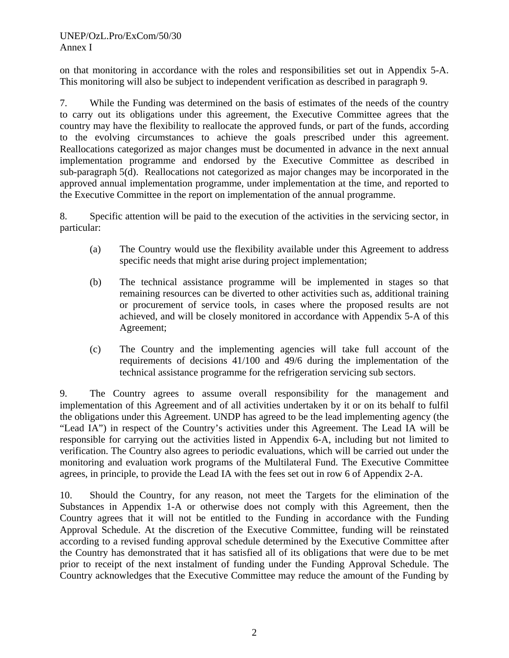on that monitoring in accordance with the roles and responsibilities set out in Appendix 5-A. This monitoring will also be subject to independent verification as described in paragraph 9.

7. While the Funding was determined on the basis of estimates of the needs of the country to carry out its obligations under this agreement, the Executive Committee agrees that the country may have the flexibility to reallocate the approved funds, or part of the funds, according to the evolving circumstances to achieve the goals prescribed under this agreement. Reallocations categorized as major changes must be documented in advance in the next annual implementation programme and endorsed by the Executive Committee as described in sub-paragraph 5(d). Reallocations not categorized as major changes may be incorporated in the approved annual implementation programme, under implementation at the time, and reported to the Executive Committee in the report on implementation of the annual programme.

8. Specific attention will be paid to the execution of the activities in the servicing sector, in particular:

- (a) The Country would use the flexibility available under this Agreement to address specific needs that might arise during project implementation;
- (b) The technical assistance programme will be implemented in stages so that remaining resources can be diverted to other activities such as, additional training or procurement of service tools, in cases where the proposed results are not achieved, and will be closely monitored in accordance with Appendix 5-A of this Agreement;
- (c) The Country and the implementing agencies will take full account of the requirements of decisions 41/100 and 49/6 during the implementation of the technical assistance programme for the refrigeration servicing sub sectors.

9. The Country agrees to assume overall responsibility for the management and implementation of this Agreement and of all activities undertaken by it or on its behalf to fulfil the obligations under this Agreement. UNDP has agreed to be the lead implementing agency (the "Lead IA") in respect of the Country's activities under this Agreement. The Lead IA will be responsible for carrying out the activities listed in Appendix 6-A, including but not limited to verification. The Country also agrees to periodic evaluations, which will be carried out under the monitoring and evaluation work programs of the Multilateral Fund. The Executive Committee agrees, in principle, to provide the Lead IA with the fees set out in row 6 of Appendix 2-A.

10. Should the Country, for any reason, not meet the Targets for the elimination of the Substances in Appendix 1-A or otherwise does not comply with this Agreement, then the Country agrees that it will not be entitled to the Funding in accordance with the Funding Approval Schedule. At the discretion of the Executive Committee, funding will be reinstated according to a revised funding approval schedule determined by the Executive Committee after the Country has demonstrated that it has satisfied all of its obligations that were due to be met prior to receipt of the next instalment of funding under the Funding Approval Schedule. The Country acknowledges that the Executive Committee may reduce the amount of the Funding by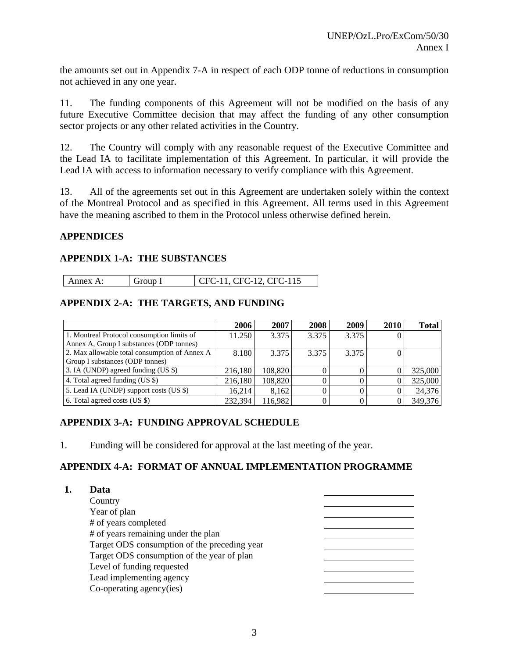the amounts set out in Appendix 7-A in respect of each ODP tonne of reductions in consumption not achieved in any one year.

11. The funding components of this Agreement will not be modified on the basis of any future Executive Committee decision that may affect the funding of any other consumption sector projects or any other related activities in the Country.

12. The Country will comply with any reasonable request of the Executive Committee and the Lead IA to facilitate implementation of this Agreement. In particular, it will provide the Lead IA with access to information necessary to verify compliance with this Agreement.

13. All of the agreements set out in this Agreement are undertaken solely within the context of the Montreal Protocol and as specified in this Agreement. All terms used in this Agreement have the meaning ascribed to them in the Protocol unless otherwise defined herein.

## **APPENDICES**

## **APPENDIX 1-A: THE SUBSTANCES**

| $\mathsf{I}$ Annex A: | Group I | 1 CFC-11, CFC-12, CFC-115 |
|-----------------------|---------|---------------------------|

## **APPENDIX 2-A: THE TARGETS, AND FUNDING**

|                                               | 2006    | 2007    | 2008  | 2009  | 2010 | <b>Total</b> |
|-----------------------------------------------|---------|---------|-------|-------|------|--------------|
| 1. Montreal Protocol consumption limits of    | 11.250  | 3.375   | 3.375 | 3.375 | U    |              |
| Annex A, Group I substances (ODP tonnes)      |         |         |       |       |      |              |
| 2. Max allowable total consumption of Annex A | 8.180   | 3.375   | 3.375 | 3.375 |      |              |
| Group I substances (ODP tonnes)               |         |         |       |       |      |              |
| 3. IA (UNDP) agreed funding (US \$)           | 216,180 | 108,820 |       |       |      | 325,000      |
| 4. Total agreed funding (US \$)               | 216,180 | 108,820 |       |       |      | 325,000      |
| 5. Lead IA (UNDP) support costs (US \$)       | 16.214  | 8.162   |       |       |      | 24,376       |
| 6. Total agreed costs (US \$)                 | 232,394 | 116,982 |       |       |      | 349,376      |

## **APPENDIX 3-A: FUNDING APPROVAL SCHEDULE**

1. Funding will be considered for approval at the last meeting of the year.

## **APPENDIX 4-A: FORMAT OF ANNUAL IMPLEMENTATION PROGRAMME**

| Data                                         |  |
|----------------------------------------------|--|
| Country                                      |  |
| Year of plan                                 |  |
| # of years completed                         |  |
| # of years remaining under the plan          |  |
| Target ODS consumption of the preceding year |  |
| Target ODS consumption of the year of plan   |  |
| Level of funding requested                   |  |
| Lead implementing agency                     |  |
| Co-operating agency(ies)                     |  |
|                                              |  |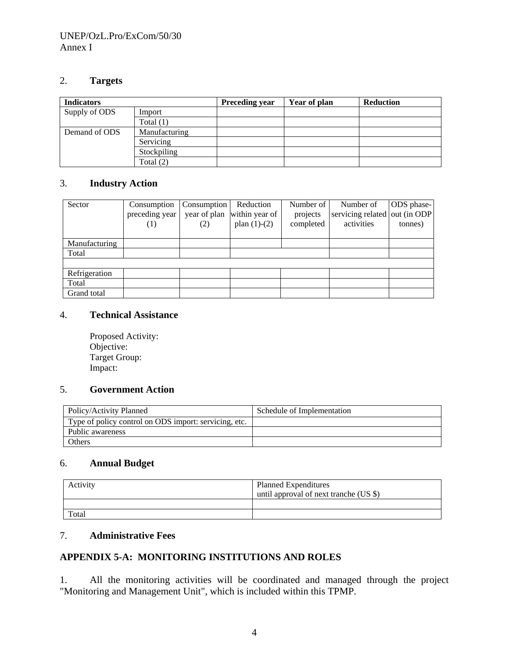## 2. **Targets**

| <b>Indicators</b> |               | <b>Preceding year</b> | Year of plan | <b>Reduction</b> |
|-------------------|---------------|-----------------------|--------------|------------------|
| Supply of ODS     | Import        |                       |              |                  |
|                   | Total $(1)$   |                       |              |                  |
| Demand of ODS     | Manufacturing |                       |              |                  |
|                   | Servicing     |                       |              |                  |
|                   | Stockpiling   |                       |              |                  |
|                   | Total $(2)$   |                       |              |                  |

## 3. **Industry Action**

| Sector        | Consumption<br>preceding year<br>$\left(1\right)$ | Consumption<br>year of plan<br>(2) | Reduction<br>within year of<br>plan $(1)-(2)$ | Number of<br>projects<br>completed | Number of<br>servicing related out (in ODP<br>activities | ODS phase-<br>tonnes) |
|---------------|---------------------------------------------------|------------------------------------|-----------------------------------------------|------------------------------------|----------------------------------------------------------|-----------------------|
| Manufacturing |                                                   |                                    |                                               |                                    |                                                          |                       |
| Total         |                                                   |                                    |                                               |                                    |                                                          |                       |
|               |                                                   |                                    |                                               |                                    |                                                          |                       |
| Refrigeration |                                                   |                                    |                                               |                                    |                                                          |                       |
| Total         |                                                   |                                    |                                               |                                    |                                                          |                       |
| Grand total   |                                                   |                                    |                                               |                                    |                                                          |                       |

#### 4. **Technical Assistance**

Proposed Activity: Objective: Target Group: Impact:

#### 5. **Government Action**

| Policy/Activity Planned                               | Schedule of Implementation |
|-------------------------------------------------------|----------------------------|
| Type of policy control on ODS import: servicing, etc. |                            |
| Public awareness                                      |                            |
| Others                                                |                            |

## 6. **Annual Budget**

| Activity | <b>Planned Expenditures</b><br>until approval of next tranche (US \$) |
|----------|-----------------------------------------------------------------------|
|          |                                                                       |
| Total    |                                                                       |

# 7. **Administrative Fees**

# **APPENDIX 5-A: MONITORING INSTITUTIONS AND ROLES**

1. All the monitoring activities will be coordinated and managed through the project "Monitoring and Management Unit", which is included within this TPMP.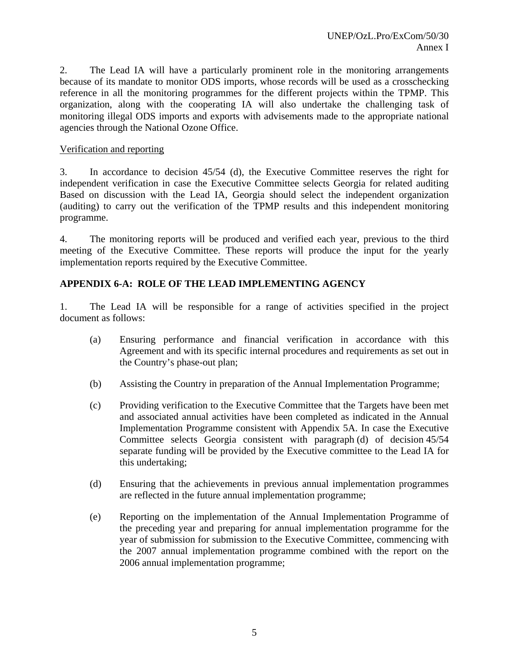2. The Lead IA will have a particularly prominent role in the monitoring arrangements because of its mandate to monitor ODS imports, whose records will be used as a crosschecking reference in all the monitoring programmes for the different projects within the TPMP. This organization, along with the cooperating IA will also undertake the challenging task of monitoring illegal ODS imports and exports with advisements made to the appropriate national agencies through the National Ozone Office.

## Verification and reporting

3. In accordance to decision 45/54 (d), the Executive Committee reserves the right for independent verification in case the Executive Committee selects Georgia for related auditing Based on discussion with the Lead IA, Georgia should select the independent organization (auditing) to carry out the verification of the TPMP results and this independent monitoring programme.

4. The monitoring reports will be produced and verified each year, previous to the third meeting of the Executive Committee. These reports will produce the input for the yearly implementation reports required by the Executive Committee.

## **APPENDIX 6-A: ROLE OF THE LEAD IMPLEMENTING AGENCY**

1. The Lead IA will be responsible for a range of activities specified in the project document as follows:

- (a) Ensuring performance and financial verification in accordance with this Agreement and with its specific internal procedures and requirements as set out in the Country's phase-out plan;
- (b) Assisting the Country in preparation of the Annual Implementation Programme;
- (c) Providing verification to the Executive Committee that the Targets have been met and associated annual activities have been completed as indicated in the Annual Implementation Programme consistent with Appendix 5A. In case the Executive Committee selects Georgia consistent with paragraph (d) of decision 45/54 separate funding will be provided by the Executive committee to the Lead IA for this undertaking;
- (d) Ensuring that the achievements in previous annual implementation programmes are reflected in the future annual implementation programme;
- (e) Reporting on the implementation of the Annual Implementation Programme of the preceding year and preparing for annual implementation programme for the year of submission for submission to the Executive Committee, commencing with the 2007 annual implementation programme combined with the report on the 2006 annual implementation programme;